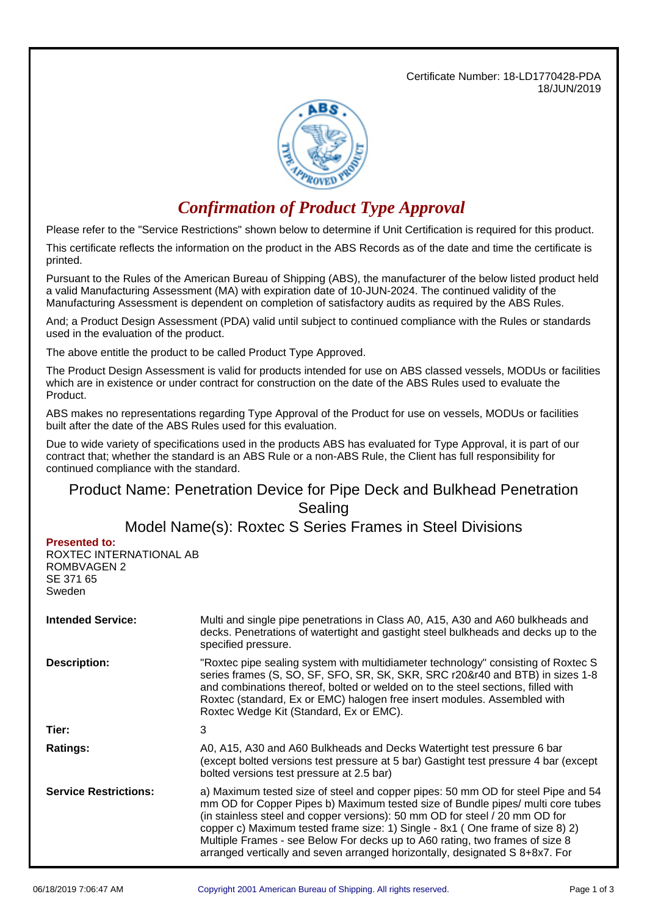Certificate Number: 18-LD1770428-PDA 18/JUN/2019



## *Confirmation of Product Type Approval*

Please refer to the "Service Restrictions" shown below to determine if Unit Certification is required for this product.

This certificate reflects the information on the product in the ABS Records as of the date and time the certificate is printed.

Pursuant to the Rules of the American Bureau of Shipping (ABS), the manufacturer of the below listed product held a valid Manufacturing Assessment (MA) with expiration date of 10-JUN-2024. The continued validity of the Manufacturing Assessment is dependent on completion of satisfactory audits as required by the ABS Rules.

And; a Product Design Assessment (PDA) valid until subject to continued compliance with the Rules or standards used in the evaluation of the product.

The above entitle the product to be called Product Type Approved.

The Product Design Assessment is valid for products intended for use on ABS classed vessels, MODUs or facilities which are in existence or under contract for construction on the date of the ABS Rules used to evaluate the Product.

ABS makes no representations regarding Type Approval of the Product for use on vessels, MODUs or facilities built after the date of the ABS Rules used for this evaluation.

Due to wide variety of specifications used in the products ABS has evaluated for Type Approval, it is part of our contract that; whether the standard is an ABS Rule or a non-ABS Rule, the Client has full responsibility for continued compliance with the standard.

## Product Name: Penetration Device for Pipe Deck and Bulkhead Penetration Sealing

Model Name(s): Roxtec S Series Frames in Steel Divisions

**Presented to:**

ROXTEC INTERNATIONAL AB ROMBVAGEN 2 SE 371 65 Sweden

| <b>Intended Service:</b>     | Multi and single pipe penetrations in Class A0, A15, A30 and A60 bulkheads and<br>decks. Penetrations of watertight and gastight steel bulkheads and decks up to the<br>specified pressure.                                                                                                                                                                                                                                                                                                         |  |
|------------------------------|-----------------------------------------------------------------------------------------------------------------------------------------------------------------------------------------------------------------------------------------------------------------------------------------------------------------------------------------------------------------------------------------------------------------------------------------------------------------------------------------------------|--|
| <b>Description:</b>          | "Roxtec pipe sealing system with multidiameter technology" consisting of Roxtec S<br>series frames (S, SO, SF, SFO, SR, SK, SKR, SRC r20&r40 and BTB) in sizes 1-8<br>and combinations thereof, bolted or welded on to the steel sections, filled with<br>Roxtec (standard, Ex or EMC) halogen free insert modules. Assembled with<br>Roxtec Wedge Kit (Standard, Ex or EMC).                                                                                                                       |  |
| Tier:                        | 3                                                                                                                                                                                                                                                                                                                                                                                                                                                                                                   |  |
| <b>Ratings:</b>              | A0, A15, A30 and A60 Bulkheads and Decks Watertight test pressure 6 bar<br>(except bolted versions test pressure at 5 bar) Gastight test pressure 4 bar (except<br>bolted versions test pressure at 2.5 bar)                                                                                                                                                                                                                                                                                        |  |
| <b>Service Restrictions:</b> | a) Maximum tested size of steel and copper pipes: 50 mm OD for steel Pipe and 54<br>mm OD for Copper Pipes b) Maximum tested size of Bundle pipes/ multi core tubes<br>(in stainless steel and copper versions): 50 mm OD for steel / 20 mm OD for<br>copper c) Maximum tested frame size: 1) Single - 8x1 (One frame of size 8) 2)<br>Multiple Frames - see Below For decks up to A60 rating, two frames of size 8<br>arranged vertically and seven arranged horizontally, designated S 8+8x7. For |  |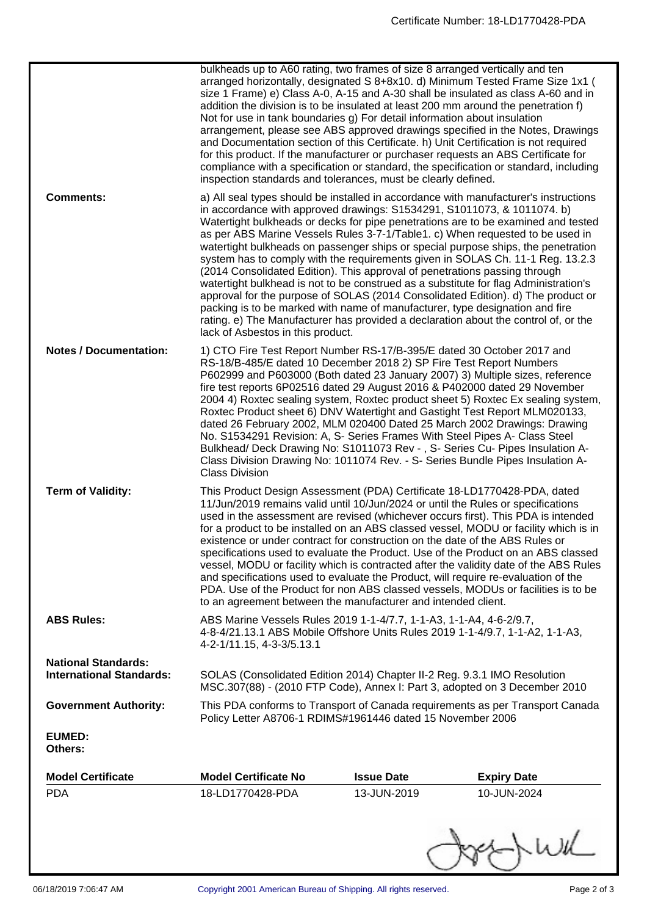| <b>Notes / Documentation:</b>                                 | (2014 Consolidated Edition). This approval of penetrations passing through<br>packing is to be marked with name of manufacturer, type designation and fire<br>lack of Asbestos in this product.<br>1) CTO Fire Test Report Number RS-17/B-395/E dated 30 October 2017 and<br>RS-18/B-485/E dated 10 December 2018 2) SP Fire Test Report Numbers                                                                                                                                                                                                                                                                                                                                                                                                                                                                                                                                                                                                                       |                   | watertight bulkhead is not to be construed as a substitute for flag Administration's<br>approval for the purpose of SOLAS (2014 Consolidated Edition). d) The product or<br>rating. e) The Manufacturer has provided a declaration about the control of, or the<br>P602999 and P603000 (Both dated 23 January 2007) 3) Multiple sizes, reference<br>fire test reports 6P02516 dated 29 August 2016 & P402000 dated 29 November<br>2004 4) Roxtec sealing system, Roxtec product sheet 5) Roxtec Ex sealing system,<br>Roxtec Product sheet 6) DNV Watertight and Gastight Test Report MLM020133,<br>dated 26 February 2002, MLM 020400 Dated 25 March 2002 Drawings: Drawing |  |
|---------------------------------------------------------------|------------------------------------------------------------------------------------------------------------------------------------------------------------------------------------------------------------------------------------------------------------------------------------------------------------------------------------------------------------------------------------------------------------------------------------------------------------------------------------------------------------------------------------------------------------------------------------------------------------------------------------------------------------------------------------------------------------------------------------------------------------------------------------------------------------------------------------------------------------------------------------------------------------------------------------------------------------------------|-------------------|------------------------------------------------------------------------------------------------------------------------------------------------------------------------------------------------------------------------------------------------------------------------------------------------------------------------------------------------------------------------------------------------------------------------------------------------------------------------------------------------------------------------------------------------------------------------------------------------------------------------------------------------------------------------------|--|
| <b>Term of Validity:</b>                                      | No. S1534291 Revision: A, S- Series Frames With Steel Pipes A- Class Steel<br>Bulkhead/ Deck Drawing No: S1011073 Rev -, S- Series Cu- Pipes Insulation A-<br>Class Division Drawing No: 1011074 Rev. - S- Series Bundle Pipes Insulation A-<br><b>Class Division</b><br>This Product Design Assessment (PDA) Certificate 18-LD1770428-PDA, dated<br>11/Jun/2019 remains valid until 10/Jun/2024 or until the Rules or specifications<br>used in the assessment are revised (whichever occurs first). This PDA is intended<br>for a product to be installed on an ABS classed vessel, MODU or facility which is in<br>existence or under contract for construction on the date of the ABS Rules or<br>specifications used to evaluate the Product. Use of the Product on an ABS classed<br>vessel, MODU or facility which is contracted after the validity date of the ABS Rules<br>and specifications used to evaluate the Product, will require re-evaluation of the |                   |                                                                                                                                                                                                                                                                                                                                                                                                                                                                                                                                                                                                                                                                              |  |
| <b>ABS Rules:</b>                                             | PDA. Use of the Product for non ABS classed vessels, MODUs or facilities is to be<br>to an agreement between the manufacturer and intended client.<br>ABS Marine Vessels Rules 2019 1-1-4/7.7, 1-1-A3, 1-1-A4, 4-6-2/9.7,<br>4-8-4/21.13.1 ABS Mobile Offshore Units Rules 2019 1-1-4/9.7, 1-1-A2, 1-1-A3,                                                                                                                                                                                                                                                                                                                                                                                                                                                                                                                                                                                                                                                             |                   |                                                                                                                                                                                                                                                                                                                                                                                                                                                                                                                                                                                                                                                                              |  |
|                                                               | 4-2-1/11.15, 4-3-3/5.13.1                                                                                                                                                                                                                                                                                                                                                                                                                                                                                                                                                                                                                                                                                                                                                                                                                                                                                                                                              |                   |                                                                                                                                                                                                                                                                                                                                                                                                                                                                                                                                                                                                                                                                              |  |
| <b>National Standards:</b><br><b>International Standards:</b> | SOLAS (Consolidated Edition 2014) Chapter II-2 Reg. 9.3.1 IMO Resolution                                                                                                                                                                                                                                                                                                                                                                                                                                                                                                                                                                                                                                                                                                                                                                                                                                                                                               |                   | MSC.307(88) - (2010 FTP Code), Annex I: Part 3, adopted on 3 December 2010                                                                                                                                                                                                                                                                                                                                                                                                                                                                                                                                                                                                   |  |
| <b>Government Authority:</b>                                  | Policy Letter A8706-1 RDIMS#1961446 dated 15 November 2006                                                                                                                                                                                                                                                                                                                                                                                                                                                                                                                                                                                                                                                                                                                                                                                                                                                                                                             |                   | This PDA conforms to Transport of Canada requirements as per Transport Canada                                                                                                                                                                                                                                                                                                                                                                                                                                                                                                                                                                                                |  |
| <b>EUMED:</b><br>Others:                                      |                                                                                                                                                                                                                                                                                                                                                                                                                                                                                                                                                                                                                                                                                                                                                                                                                                                                                                                                                                        |                   |                                                                                                                                                                                                                                                                                                                                                                                                                                                                                                                                                                                                                                                                              |  |
| <b>Model Certificate</b>                                      | <b>Model Certificate No</b>                                                                                                                                                                                                                                                                                                                                                                                                                                                                                                                                                                                                                                                                                                                                                                                                                                                                                                                                            | <b>Issue Date</b> | <b>Expiry Date</b>                                                                                                                                                                                                                                                                                                                                                                                                                                                                                                                                                                                                                                                           |  |
| <b>PDA</b>                                                    | 18-LD1770428-PDA                                                                                                                                                                                                                                                                                                                                                                                                                                                                                                                                                                                                                                                                                                                                                                                                                                                                                                                                                       | 13-JUN-2019       | 10-JUN-2024                                                                                                                                                                                                                                                                                                                                                                                                                                                                                                                                                                                                                                                                  |  |
|                                                               |                                                                                                                                                                                                                                                                                                                                                                                                                                                                                                                                                                                                                                                                                                                                                                                                                                                                                                                                                                        |                   |                                                                                                                                                                                                                                                                                                                                                                                                                                                                                                                                                                                                                                                                              |  |